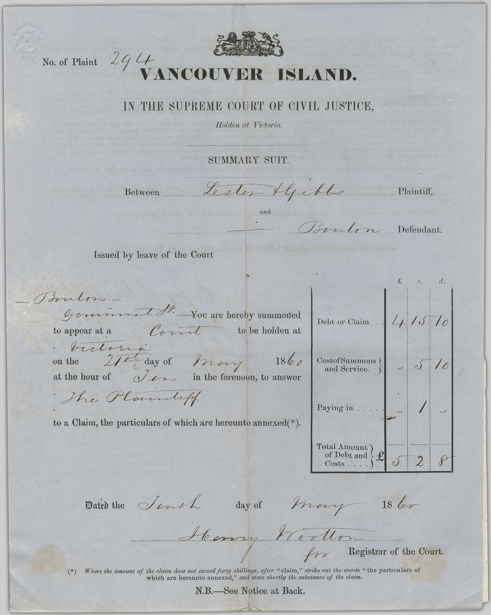## IN THE SUPREME COURT OF CIVIL JUSTICE,

Holden at Victoria.

SUMMARY SUIT.

Lester Alfebles Plaintiff, Between and Boulon Defendant. Issued by leave of the Court  $s. d.$ Boulow General St. You are hereby summoned  $415$ Debt or Claim . Correl to appear at a to be holden at Victoria on the 27<sup>pt</sup> day of many 1860<br>at the hour of *Jen* in the forenoon, to answer  $\frac{1}{2}$ CostofSummons ( and Service. The Planuliff Paying in . . . . to a Claim, the particulars of which are hereunto annexed(\*). Total Amount of Debt and  $\overline{2}$  $8$ Dated the Sensh day of Mary 18 bor Henry Worthom

Registrar of the Court.

Where the amount of the claim does not exceed forty shillings, after "claim," strike out the words "the particulars of which are hereunto annexed," and state shortly the substance of the claim.  $(*)$ 

N.B.-See Notice at Back.

No. of Plaint  $294$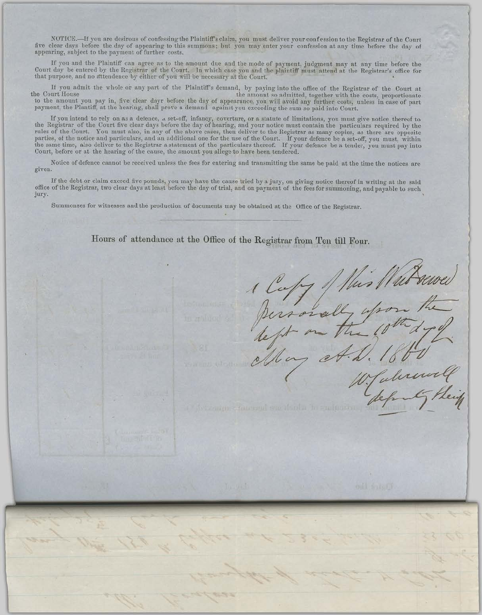NOTICE.—If you are desirous of confessing the Plaintiff's claim, you must deliver your confession to the Registrar of the Court five clear days before the day of appearing to this summons; but you may enter your confession at any time before the day of appearing, subject to the payment of further costs.

If you and the Plaintiff can agree as to the amount due and the mode of payment, judgment may at any time before the Court day be entered by the Registrar of the Court. In which case you and the plaintiff must attend at th that purpose, and no attendence by either of you will be necessary at the Court.

If you admit the whole or any part of the Plaintiff's demand, by paying into the office of the Registrar of the Court at the Court House the amount so admitted, together with the costs, proportionate to the amount you pay in, five clear dayr before the day of appearance, you will avoid any further costs, unless in case of part payment, the Plantiff, at the hearing, shall prove a demand against you exceeding the sum so paid into Court.

If you intend to rely on as a defence, a set-off, infancy, coverture, or a statute of limitations, you must give notice thereof to the Registrar of the Court five clear days before the day of hearing, and your notice must rules of the Court. You must also, in any of the above cases, then deliver to the Registrar as many copies, as there are opposite<br>parties, of the notice and particulars, and an additional one for the use of the Court. If y Court, before or at the hearing of the cause, the amount you allege to have been tendered.

Notice of defence cannot be received unless the fees for entering and transmitting the same be paid at the time the notices are given.

If the debt or claim exceed five pounds, you may have the cause tried by a jury, on giving notice thereof in writing at the said office of the Registrar, two clear days at least before the day of trial, and on payment of the fees for summoning, and payable to such jury.

Summonses for witnesses and the production of documents may be obtained at the Office of the Registrar.

Hours of attendance at the Office of the Registrar from Ten till Four.

Talerewith